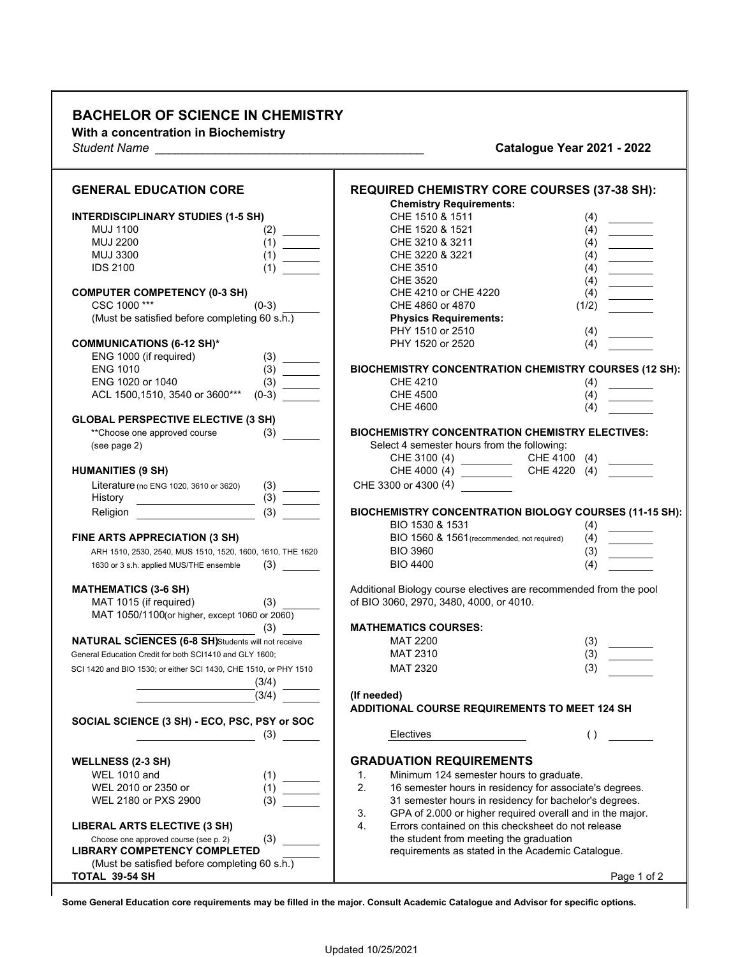## **BACHELOR OF SCIENCE IN CHEMISTRY**

**With a concentration in Biochemistry**

*Student Name \_\_\_\_\_\_\_\_\_\_\_\_\_\_\_\_\_\_\_\_\_\_\_\_\_\_\_\_\_\_\_\_\_\_\_\_\_\_\_\_* **Catalogue Year 2021 - 2022**

| <b>Chemistry Requirements:</b><br>CHE 1510 & 1511                                                                                                                                                                                                                                                                                                                                                                                                                                                                                                                                                                                                              |
|----------------------------------------------------------------------------------------------------------------------------------------------------------------------------------------------------------------------------------------------------------------------------------------------------------------------------------------------------------------------------------------------------------------------------------------------------------------------------------------------------------------------------------------------------------------------------------------------------------------------------------------------------------------|
| <b>INTERDISCIPLINARY STUDIES (1-5 SH)</b><br>(4)<br><b>MUJ 1100</b><br>CHE 1520 & 1521<br>(4)<br>(2)                                                                                                                                                                                                                                                                                                                                                                                                                                                                                                                                                           |
| <u> 1999 - John Barnett</u><br><b>MUJ 2200</b><br>(1)<br>CHE 3210 & 3211<br>(4)                                                                                                                                                                                                                                                                                                                                                                                                                                                                                                                                                                                |
| CHE 3220 & 3221<br><b>MUJ 3300</b><br>(1)<br>(4)                                                                                                                                                                                                                                                                                                                                                                                                                                                                                                                                                                                                               |
| $\begin{tabular}{ c c c c } \hline \quad \quad & \quad \quad & \quad \quad \\ \hline \quad \quad & \quad \quad & \quad \quad \\ \hline \quad \quad & \quad \quad & \quad \quad \\ \hline \quad \quad & \quad \quad & \quad \quad \\ \hline \quad \quad & \quad \quad & \quad \quad \\ \hline \quad \quad & \quad \quad & \quad \quad \\ \hline \quad \quad & \quad \quad & \quad \quad \\ \hline \quad \quad & \quad \quad & \quad \quad \\ \hline \quad \quad & \quad \quad & \quad \quad \\ \hline \quad \quad & \quad \quad & \quad \quad \\ \hline \quad \quad & \quad \quad & \quad \quad \\ \hline \quad \$<br><b>IDS 2100</b><br>CHE 3510<br>(4)<br>(1) |
| <b>CHE 3520</b><br>(4)                                                                                                                                                                                                                                                                                                                                                                                                                                                                                                                                                                                                                                         |
| <b>COMPUTER COMPETENCY (0-3 SH)</b><br>CHE 4210 or CHE 4220<br>(4)                                                                                                                                                                                                                                                                                                                                                                                                                                                                                                                                                                                             |
| CSC 1000***<br>$(0-3)$<br>CHE 4860 or 4870<br>(1/2)                                                                                                                                                                                                                                                                                                                                                                                                                                                                                                                                                                                                            |
| (Must be satisfied before completing 60 s.h.)<br><b>Physics Requirements:</b>                                                                                                                                                                                                                                                                                                                                                                                                                                                                                                                                                                                  |
| PHY 1510 or 2510<br>(4)                                                                                                                                                                                                                                                                                                                                                                                                                                                                                                                                                                                                                                        |
| PHY 1520 or 2520<br><b>COMMUNICATIONS (6-12 SH)*</b><br>(4)                                                                                                                                                                                                                                                                                                                                                                                                                                                                                                                                                                                                    |
| ENG 1000 (if required)<br>(3)                                                                                                                                                                                                                                                                                                                                                                                                                                                                                                                                                                                                                                  |
| <b>ENG 1010</b><br>(3)<br><b>BIOCHEMISTRY CONCENTRATION CHEMISTRY COURSES (12 SH):</b>                                                                                                                                                                                                                                                                                                                                                                                                                                                                                                                                                                         |
| ENG 1020 or 1040<br><b>CHE 4210</b><br>(3)<br>(4)                                                                                                                                                                                                                                                                                                                                                                                                                                                                                                                                                                                                              |
| ACL 1500,1510, 3540 or 3600***<br>$(0-3)$<br><b>CHE 4500</b><br>(4)                                                                                                                                                                                                                                                                                                                                                                                                                                                                                                                                                                                            |
| <b>CHE 4600</b><br>(4)                                                                                                                                                                                                                                                                                                                                                                                                                                                                                                                                                                                                                                         |
| <b>GLOBAL PERSPECTIVE ELECTIVE (3 SH)</b>                                                                                                                                                                                                                                                                                                                                                                                                                                                                                                                                                                                                                      |
| **Choose one approved course<br>(3)<br><b>BIOCHEMISTRY CONCENTRATION CHEMISTRY ELECTIVES:</b>                                                                                                                                                                                                                                                                                                                                                                                                                                                                                                                                                                  |
| Select 4 semester hours from the following:<br>(see page 2)                                                                                                                                                                                                                                                                                                                                                                                                                                                                                                                                                                                                    |
| CHE 3100 (4)<br>CHE 4000 (4)<br>CHE 4100 (4)                                                                                                                                                                                                                                                                                                                                                                                                                                                                                                                                                                                                                   |
| CHE 4220 (4)<br><b>HUMANITIES (9 SH)</b>                                                                                                                                                                                                                                                                                                                                                                                                                                                                                                                                                                                                                       |
| CHE 3300 or 4300 (4)<br>Literature (no ENG 1020, 3610 or 3620)<br>(3)                                                                                                                                                                                                                                                                                                                                                                                                                                                                                                                                                                                          |
| History                                                                                                                                                                                                                                                                                                                                                                                                                                                                                                                                                                                                                                                        |
| (3)<br>BIOCHEMISTRY CONCENTRATION BIOLOGY COURSES (11-15 SH):<br>Religion<br>BIO 1530 & 1531<br>(4)                                                                                                                                                                                                                                                                                                                                                                                                                                                                                                                                                            |
| BIO 1560 & 1561 (recommended, not required)<br>FINE ARTS APPRECIATION (3 SH)<br>(4)                                                                                                                                                                                                                                                                                                                                                                                                                                                                                                                                                                            |
| <b>BIO 3960</b><br>(3)<br>ARH 1510, 2530, 2540, MUS 1510, 1520, 1600, 1610, THE 1620                                                                                                                                                                                                                                                                                                                                                                                                                                                                                                                                                                           |
| <b>BIO 4400</b><br>(4)<br>(3)<br>1630 or 3 s.h. applied MUS/THE ensemble                                                                                                                                                                                                                                                                                                                                                                                                                                                                                                                                                                                       |
|                                                                                                                                                                                                                                                                                                                                                                                                                                                                                                                                                                                                                                                                |
| <b>MATHEMATICS (3-6 SH)</b><br>Additional Biology course electives are recommended from the pool                                                                                                                                                                                                                                                                                                                                                                                                                                                                                                                                                               |
| of BIO 3060, 2970, 3480, 4000, or 4010.<br>MAT 1015 (if required)<br>(3)                                                                                                                                                                                                                                                                                                                                                                                                                                                                                                                                                                                       |
| MAT 1050/1100(or higher, except 1060 or 2060)<br><b>MATHEMATICS COURSES:</b>                                                                                                                                                                                                                                                                                                                                                                                                                                                                                                                                                                                   |
| (3)<br>NATURAL SCIENCES (6-8 SH)Students will not receive<br>MAT 2200                                                                                                                                                                                                                                                                                                                                                                                                                                                                                                                                                                                          |
| (3)<br><b>MAT 2310</b><br>(3)<br>General Education Credit for both SCI1410 and GLY 1600;                                                                                                                                                                                                                                                                                                                                                                                                                                                                                                                                                                       |
| (3)                                                                                                                                                                                                                                                                                                                                                                                                                                                                                                                                                                                                                                                            |
| MAT 2320<br>SCI 1420 and BIO 1530; or either SCI 1430, CHE 1510, or PHY 1510                                                                                                                                                                                                                                                                                                                                                                                                                                                                                                                                                                                   |
| (3/4)<br>(3/4)                                                                                                                                                                                                                                                                                                                                                                                                                                                                                                                                                                                                                                                 |
| (If needed)<br>ADDITIONAL COURSE REQUIREMENTS TO MEET 124 SH                                                                                                                                                                                                                                                                                                                                                                                                                                                                                                                                                                                                   |
| SOCIAL SCIENCE (3 SH) - ECO, PSC, PSY or SOC                                                                                                                                                                                                                                                                                                                                                                                                                                                                                                                                                                                                                   |
| ( )<br>(3)<br>Electives                                                                                                                                                                                                                                                                                                                                                                                                                                                                                                                                                                                                                                        |
| <b>GRADUATION REQUIREMENTS</b>                                                                                                                                                                                                                                                                                                                                                                                                                                                                                                                                                                                                                                 |
| <b>WELLNESS (2-3 SH)</b><br><b>WEL 1010 and</b><br>Minimum 124 semester hours to graduate.<br>$\mathbf{1}$ .                                                                                                                                                                                                                                                                                                                                                                                                                                                                                                                                                   |
| (1)<br>2.<br>16 semester hours in residency for associate's degrees.<br>WEL 2010 or 2350 or<br>(1)                                                                                                                                                                                                                                                                                                                                                                                                                                                                                                                                                             |
| 31 semester hours in residency for bachelor's degrees.<br>WEL 2180 or PXS 2900<br>(3)                                                                                                                                                                                                                                                                                                                                                                                                                                                                                                                                                                          |
| 3.<br>GPA of 2.000 or higher required overall and in the major.                                                                                                                                                                                                                                                                                                                                                                                                                                                                                                                                                                                                |
| Errors contained on this checksheet do not release<br><b>LIBERAL ARTS ELECTIVE (3 SH)</b><br>4.                                                                                                                                                                                                                                                                                                                                                                                                                                                                                                                                                                |
| the student from meeting the graduation<br>(3)<br>Choose one approved course (see p. 2)                                                                                                                                                                                                                                                                                                                                                                                                                                                                                                                                                                        |
| <b>LIBRARY COMPETENCY COMPLETED</b><br>requirements as stated in the Academic Catalogue.                                                                                                                                                                                                                                                                                                                                                                                                                                                                                                                                                                       |
| (Must be satisfied before completing 60 s.h.)                                                                                                                                                                                                                                                                                                                                                                                                                                                                                                                                                                                                                  |
| TOTAL 39-54 SH<br>Page 1 of 2                                                                                                                                                                                                                                                                                                                                                                                                                                                                                                                                                                                                                                  |

 $\overline{\mathsf{T}}$ 

**Some General Education core requirements may be filled in the major. Consult Academic Catalogue and Advisor for specific options.**